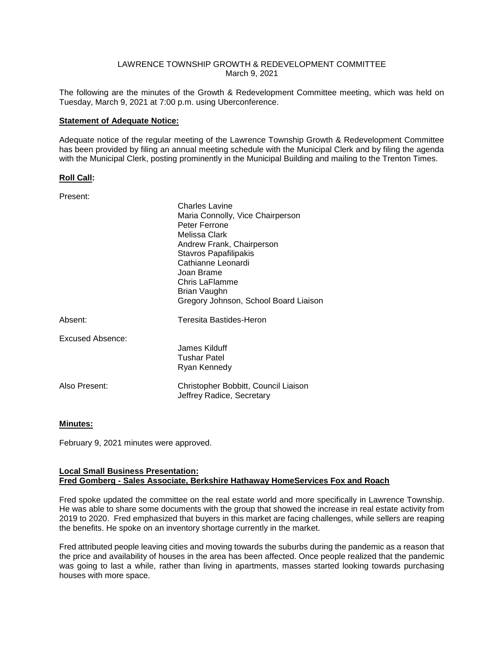### LAWRENCE TOWNSHIP GROWTH & REDEVELOPMENT COMMITTEE March 9, 2021

The following are the minutes of the Growth & Redevelopment Committee meeting, which was held on Tuesday, March 9, 2021 at 7:00 p.m. using Uberconference.

## **Statement of Adequate Notice:**

Adequate notice of the regular meeting of the Lawrence Township Growth & Redevelopment Committee has been provided by filing an annual meeting schedule with the Municipal Clerk and by filing the agenda with the Municipal Clerk, posting prominently in the Municipal Building and mailing to the Trenton Times.

### **Roll Call:**

Present:

|                  | <b>Charles Lavine</b><br>Maria Connolly, Vice Chairperson<br>Peter Ferrone<br>Melissa Clark<br>Andrew Frank, Chairperson<br>Stavros Papafilipakis<br>Cathianne Leonardi<br>Joan Brame<br>Chris LaFlamme<br>Brian Vaughn<br>Gregory Johnson, School Board Liaison |
|------------------|------------------------------------------------------------------------------------------------------------------------------------------------------------------------------------------------------------------------------------------------------------------|
| Absent:          | Teresita Bastides-Heron                                                                                                                                                                                                                                          |
| Excused Absence: | James Kilduff<br>Tushar Patel<br>Ryan Kennedy                                                                                                                                                                                                                    |
| Also Present:    | Christopher Bobbitt, Council Liaison<br>Jeffrey Radice, Secretary                                                                                                                                                                                                |

# **Minutes:**

February 9, 2021 minutes were approved.

### **Local Small Business Presentation: Fred Gomberg - Sales Associate, Berkshire Hathaway HomeServices Fox and Roach**

Fred spoke updated the committee on the real estate world and more specifically in Lawrence Township. He was able to share some documents with the group that showed the increase in real estate activity from 2019 to 2020. Fred emphasized that buyers in this market are facing challenges, while sellers are reaping the benefits. He spoke on an inventory shortage currently in the market.

Fred attributed people leaving cities and moving towards the suburbs during the pandemic as a reason that the price and availability of houses in the area has been affected. Once people realized that the pandemic was going to last a while, rather than living in apartments, masses started looking towards purchasing houses with more space.